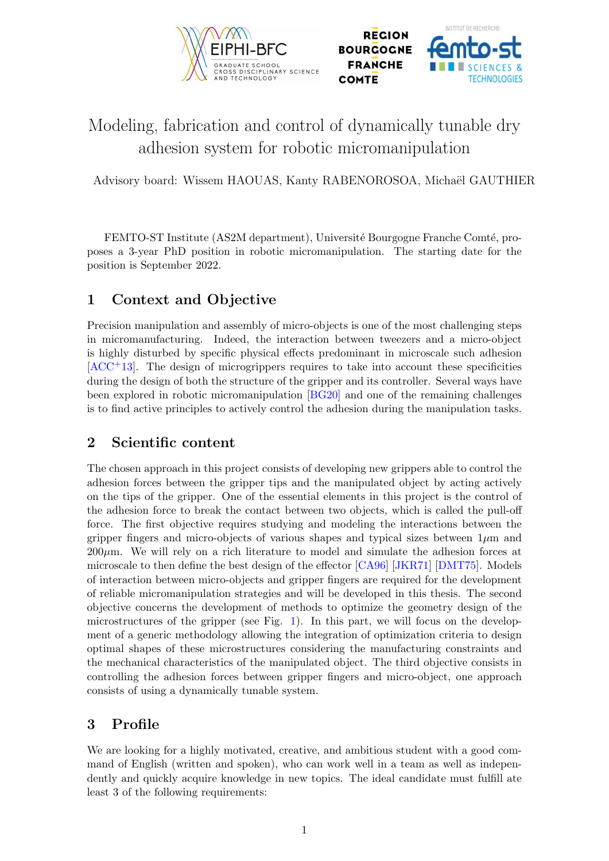



# Modeling, fabrication and control of dynamically tunable dry adhesion system for robotic micromanipulation

Advisory board: Wissem HAOUAS, Kanty RABENOROSOA, Michaël GAUTHIER

FEMTO-ST Institute (AS2M department), Université Bourgogne Franche Comté, proposes a 3-year PhD position in robotic micromanipulation. The starting date for the position is September 2022.

## 1 Context and Objective

Precision manipulation and assembly of micro-objects is one of the most challenging steps in micromanufacturing. Indeed, the interaction between tweezers and a micro-object is highly disturbed by specific physical effects predominant in microscale such adhesion [\[ACC](#page-2-0)+13]. The design of microgrippers requires to take into account these specificities during the design of both the structure of the gripper and its controller. Several ways have been explored in robotic micromanipulation [\[BG20\]](#page-2-1) and one of the remaining challenges is to find active principles to actively control the adhesion during the manipulation tasks.

### 2 Scientific content

The chosen approach in this project consists of developing new grippers able to control the adhesion forces between the gripper tips and the manipulated object by acting actively on the tips of the gripper. One of the essential elements in this project is the control of the adhesion force to break the contact between two objects, which is called the pull-off force. The first objective requires studying and modeling the interactions between the gripper fingers and micro-objects of various shapes and typical sizes between  $1\mu$ m and  $200\mu$ m. We will rely on a rich literature to model and simulate the adhesion forces at microscale to then define the best design of the effector [\[CA96\]](#page-2-2) [\[JKR71\]](#page-2-3) [\[DMT75\]](#page-2-4). Models of interaction between micro-objects and gripper fingers are required for the development of reliable micromanipulation strategies and will be developed in this thesis. The second objective concerns the development of methods to optimize the geometry design of the microstructures of the gripper (see Fig. [1\)](#page-1-0). In this part, we will focus on the development of a generic methodology allowing the integration of optimization criteria to design optimal shapes of these microstructures considering the manufacturing constraints and the mechanical characteristics of the manipulated object. The third objective consists in controlling the adhesion forces between gripper fingers and micro-object, one approach consists of using a dynamically tunable system.

## 3 Profile

We are looking for a highly motivated, creative, and ambitious student with a good command of English (written and spoken), who can work well in a team as well as independently and quickly acquire knowledge in new topics. The ideal candidate must fulfill ate least 3 of the following requirements: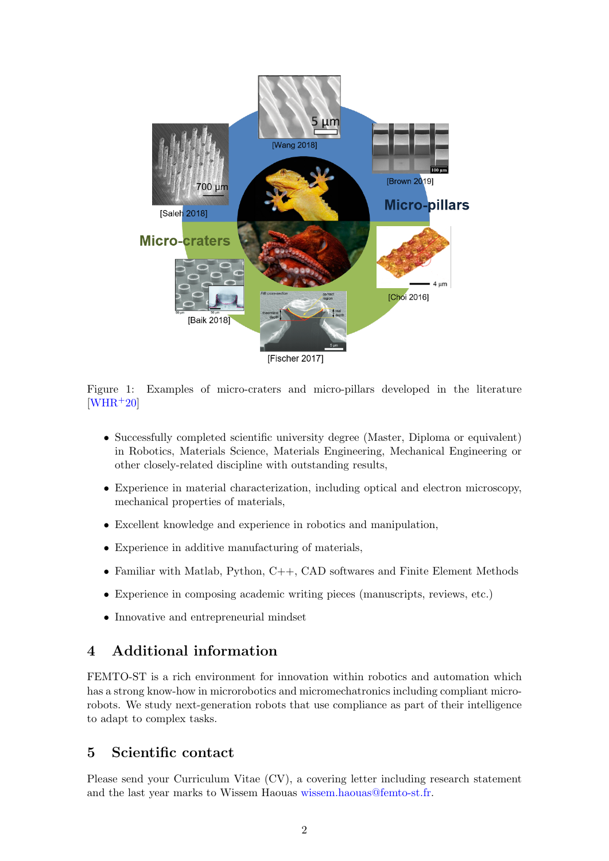

<span id="page-1-0"></span>Figure 1: Examples of micro-craters and micro-pillars developed in the literature  $[WHR+20]$  $[WHR+20]$ 

- Successfully completed scientific university degree (Master, Diploma or equivalent) in Robotics, Materials Science, Materials Engineering, Mechanical Engineering or other closely-related discipline with outstanding results,
- Experience in material characterization, including optical and electron microscopy, mechanical properties of materials,
- Excellent knowledge and experience in robotics and manipulation,
- Experience in additive manufacturing of materials,
- Familiar with Matlab, Python, C++, CAD softwares and Finite Element Methods
- Experience in composing academic writing pieces (manuscripts, reviews, etc.)
- Innovative and entrepreneurial mindset

## 4 Additional information

FEMTO-ST is a rich environment for innovation within robotics and automation which has a strong know-how in microrobotics and micromechatronics including compliant microrobots. We study next-generation robots that use compliance as part of their intelligence to adapt to complex tasks.

### 5 Scientific contact

Please send your Curriculum Vitae (CV), a covering letter including research statement and the last year marks to Wissem Haouas [wissem.haouas@femto-st.fr.](mailto:wissem.haouas@femto-st.fr)